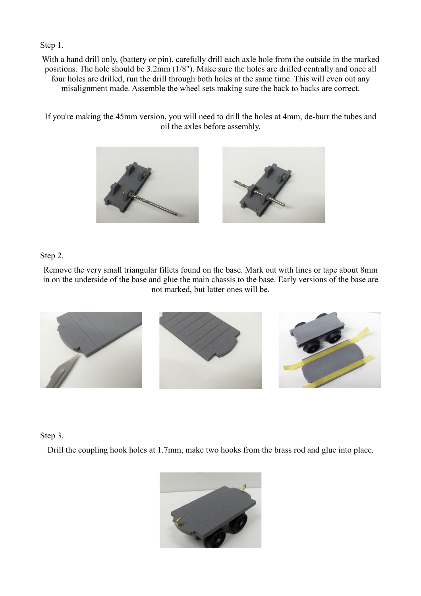Step 1.

With a hand drill only, (battery or pin), carefully drill each axle hole from the outside in the marked positions. The hole should be 3.2mm (1/8"). Make sure the holes are drilled centrally and once all four holes are drilled, run the drill through both holes at the same time. This will even out any misalignment made. Assemble the wheel sets making sure the back to backs are correct.

If you're making the 45mm version, you will need to drill the holes at 4mm, de-burr the tubes and oil the axles before assembly.



## Step 2.

Remove the very small triangular fillets found on the base. Mark out with lines or tape about 8mm in on the underside of the base and glue the main chassis to the base. Early versions of the base are not marked, but latter ones will be.



## Step 3.

Drill the coupling hook holes at 1.7mm, make two hooks from the brass rod and glue into place.